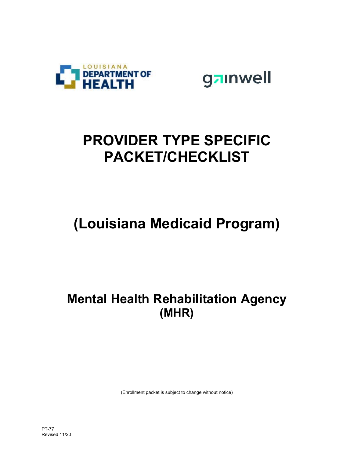

gainwell

## **PROVIDER TYPE SPECIFIC PACKET/CHECKLIST**

# **(Louisiana Medicaid Program)**

## **Mental Health Rehabilitation Agency (MHR)**

(Enrollment packet is subject to change without notice)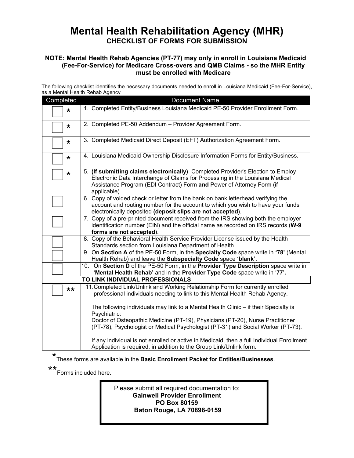### **Mental Health Rehabilitation Agency (MHR) CHECKLIST OF FORMS FOR SUBMISSION**

#### **NOTE: Mental Health Rehab Agencies (PT-77) may only in enroll in Louisiana Medicaid (Fee-For-Service) for Medicare Cross-overs and QMB Claims - so the MHR Entity must be enrolled with Medicare**

The following checklist identifies the necessary documents needed to enroll in Louisiana Medicaid (Fee-For-Service), as a Mental Health Rehab Agency

| Completed | <b>Document Name</b>                                                                                                                                 |  |  |  |  |  |  |  |
|-----------|------------------------------------------------------------------------------------------------------------------------------------------------------|--|--|--|--|--|--|--|
| $\star$   | 1. Completed Entity/Business Louisiana Medicaid PE-50 Provider Enrollment Form.                                                                      |  |  |  |  |  |  |  |
|           |                                                                                                                                                      |  |  |  |  |  |  |  |
| *         | 2. Completed PE-50 Addendum - Provider Agreement Form.                                                                                               |  |  |  |  |  |  |  |
|           |                                                                                                                                                      |  |  |  |  |  |  |  |
| *         | 3. Completed Medicaid Direct Deposit (EFT) Authorization Agreement Form.                                                                             |  |  |  |  |  |  |  |
|           |                                                                                                                                                      |  |  |  |  |  |  |  |
| $\star$   | 4. Louisiana Medicaid Ownership Disclosure Information Forms for Entity/Business.                                                                    |  |  |  |  |  |  |  |
|           |                                                                                                                                                      |  |  |  |  |  |  |  |
| $\star$   | 5. (If submitting claims electronically) Completed Provider's Election to Employ                                                                     |  |  |  |  |  |  |  |
|           | Electronic Data Interchange of Claims for Processing in the Louisiana Medical                                                                        |  |  |  |  |  |  |  |
|           | Assistance Program (EDI Contract) Form and Power of Attorney Form (if                                                                                |  |  |  |  |  |  |  |
|           | applicable).                                                                                                                                         |  |  |  |  |  |  |  |
|           | 6. Copy of voided check or letter from the bank on bank letterhead verifying the                                                                     |  |  |  |  |  |  |  |
|           | account and routing number for the account to which you wish to have your funds                                                                      |  |  |  |  |  |  |  |
|           | electronically deposited (deposit slips are not accepted).                                                                                           |  |  |  |  |  |  |  |
|           | 7. Copy of a pre-printed document received from the IRS showing both the employer                                                                    |  |  |  |  |  |  |  |
|           | identification number (EIN) and the official name as recorded on IRS records (W-9                                                                    |  |  |  |  |  |  |  |
|           | forms are not accepted).                                                                                                                             |  |  |  |  |  |  |  |
|           | 8. Copy of the Behavioral Health Service Provider License issued by the Health                                                                       |  |  |  |  |  |  |  |
|           | Standards section from Louisiana Department of Health.                                                                                               |  |  |  |  |  |  |  |
|           | 9. On Section A of the PE-50 Form, in the Specialty Code space write in '78' (Mental<br>Health Rehab) and leave the Subspecialty Code space 'blank'. |  |  |  |  |  |  |  |
|           | 10. On Section D of the PE-50 Form, in the Provider Type Description space write in                                                                  |  |  |  |  |  |  |  |
|           | 'Mental Health Rehab' and in the Provider Type Code space write in '77'.                                                                             |  |  |  |  |  |  |  |
|           | TO LINK INDIVIDUAL PROFESSIONALS                                                                                                                     |  |  |  |  |  |  |  |
| $***$     | 11. Completed Link/Unlink and Working Relationship Form for currently enrolled                                                                       |  |  |  |  |  |  |  |
|           | professional individuals needing to link to this Mental Health Rehab Agency.                                                                         |  |  |  |  |  |  |  |
|           |                                                                                                                                                      |  |  |  |  |  |  |  |
|           | The following individuals may link to a Mental Health Clinic – if their Specialty is                                                                 |  |  |  |  |  |  |  |
|           | Psychiatric:                                                                                                                                         |  |  |  |  |  |  |  |
|           | Doctor of Osteopathic Medicine (PT-19), Physicians (PT-20), Nurse Practitioner                                                                       |  |  |  |  |  |  |  |
|           | (PT-78), Psychologist or Medical Psychologist (PT-31) and Social Worker (PT-73).                                                                     |  |  |  |  |  |  |  |
|           |                                                                                                                                                      |  |  |  |  |  |  |  |
|           | If any individual is not enrolled or active in Medicaid, then a full Individual Enrollment                                                           |  |  |  |  |  |  |  |
|           | Application is required, in addition to the Group Link/Unlink form.                                                                                  |  |  |  |  |  |  |  |

\* These forms are available in the **Basic Enrollment Packet for Entities/Businesses**.

\*\*Forms included here.

Please submit all required documentation to: **Gainwell Provider Enrollment PO Box 80159 Baton Rouge, LA 70898-0159**